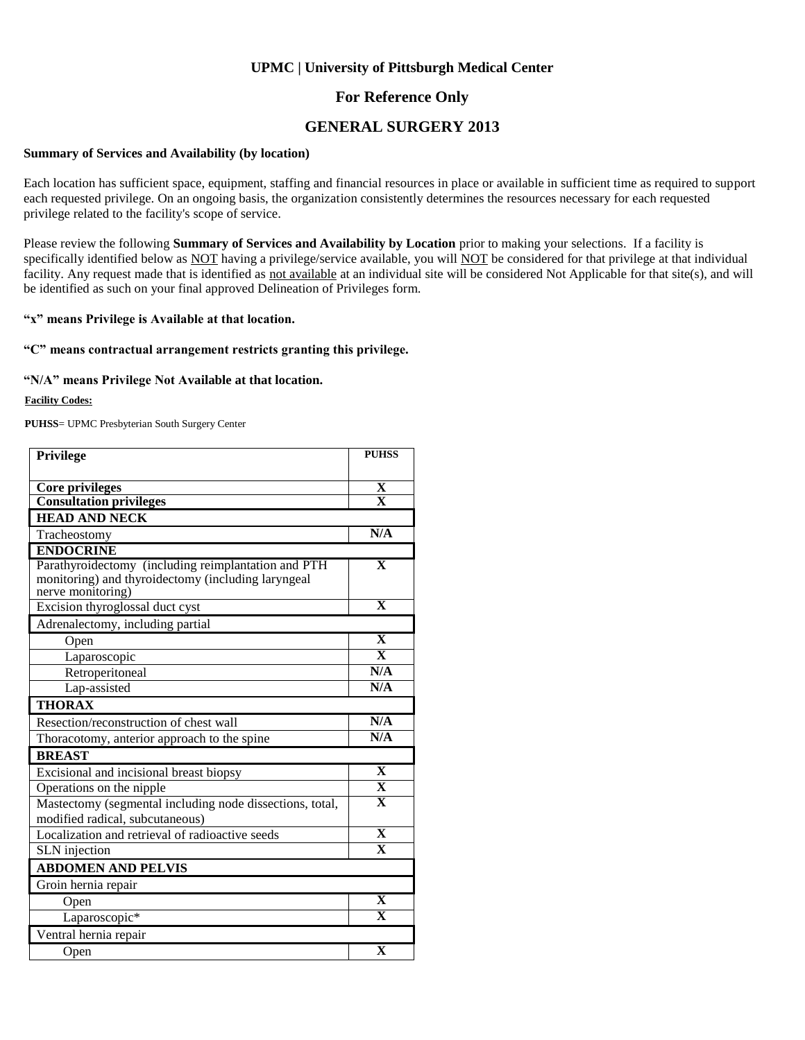### **For Reference Only**

### **GENERAL SURGERY 2013**

#### **Summary of Services and Availability (by location)**

Each location has sufficient space, equipment, staffing and financial resources in place or available in sufficient time as required to support each requested privilege. On an ongoing basis, the organization consistently determines the resources necessary for each requested privilege related to the facility's scope of service.

Please review the following **Summary of Services and Availability by Location** prior to making your selections. If a facility is specifically identified below as NOT having a privilege/service available, you will NOT be considered for that privilege at that individual facility. Any request made that is identified as not available at an individual site will be considered Not Applicable for that site(s), and will be identified as such on your final approved Delineation of Privileges form.

#### **"x" means Privilege is Available at that location.**

#### **"C" means contractual arrangement restricts granting this privilege.**

#### **"N/A" means Privilege Not Available at that location.**

#### **Facility Codes:**

**PUHSS**= UPMC Presbyterian South Surgery Center

| <b>Privilege</b>                                                                                                               | <b>PUHSS</b>            |  |
|--------------------------------------------------------------------------------------------------------------------------------|-------------------------|--|
|                                                                                                                                |                         |  |
| Core privileges                                                                                                                | X                       |  |
| <b>Consultation privileges</b>                                                                                                 | $\overline{\mathbf{x}}$ |  |
| <b>HEAD AND NECK</b>                                                                                                           |                         |  |
| Tracheostomy                                                                                                                   | N/A                     |  |
| <b>ENDOCRINE</b>                                                                                                               |                         |  |
| Parathyroidectomy (including reimplantation and PTH<br>monitoring) and thyroidectomy (including laryngeal<br>nerve monitoring) | $\overline{\mathbf{X}}$ |  |
| Excision thyroglossal duct cyst                                                                                                | $\mathbf x$             |  |
| Adrenalectomy, including partial                                                                                               |                         |  |
| Open                                                                                                                           | $\mathbf X$             |  |
| Laparoscopic                                                                                                                   | $\overline{\mathbf{X}}$ |  |
| Retroperitoneal                                                                                                                | N/A                     |  |
| Lap-assisted                                                                                                                   | N/A                     |  |
| <b>THORAX</b>                                                                                                                  |                         |  |
| Resection/reconstruction of chest wall                                                                                         | N/A                     |  |
| Thoracotomy, anterior approach to the spine                                                                                    | N/A                     |  |
| <b>BREAST</b>                                                                                                                  |                         |  |
| Excisional and incisional breast biopsy                                                                                        | $\mathbf{X}$            |  |
| Operations on the nipple                                                                                                       | $\overline{\mathbf{X}}$ |  |
| Mastectomy (segmental including node dissections, total,                                                                       | $\overline{\mathbf{X}}$ |  |
| modified radical, subcutaneous)                                                                                                |                         |  |
| Localization and retrieval of radioactive seeds                                                                                | $\overline{\mathbf{X}}$ |  |
| SLN injection                                                                                                                  | $\overline{\mathbf{X}}$ |  |
| <b>ABDOMEN AND PELVIS</b>                                                                                                      |                         |  |
| Groin hernia repair                                                                                                            |                         |  |
| Open                                                                                                                           | X                       |  |
| Laparoscopic*                                                                                                                  | $\overline{\mathbf{X}}$ |  |
| Ventral hernia repair                                                                                                          |                         |  |
| Open                                                                                                                           | $\mathbf X$             |  |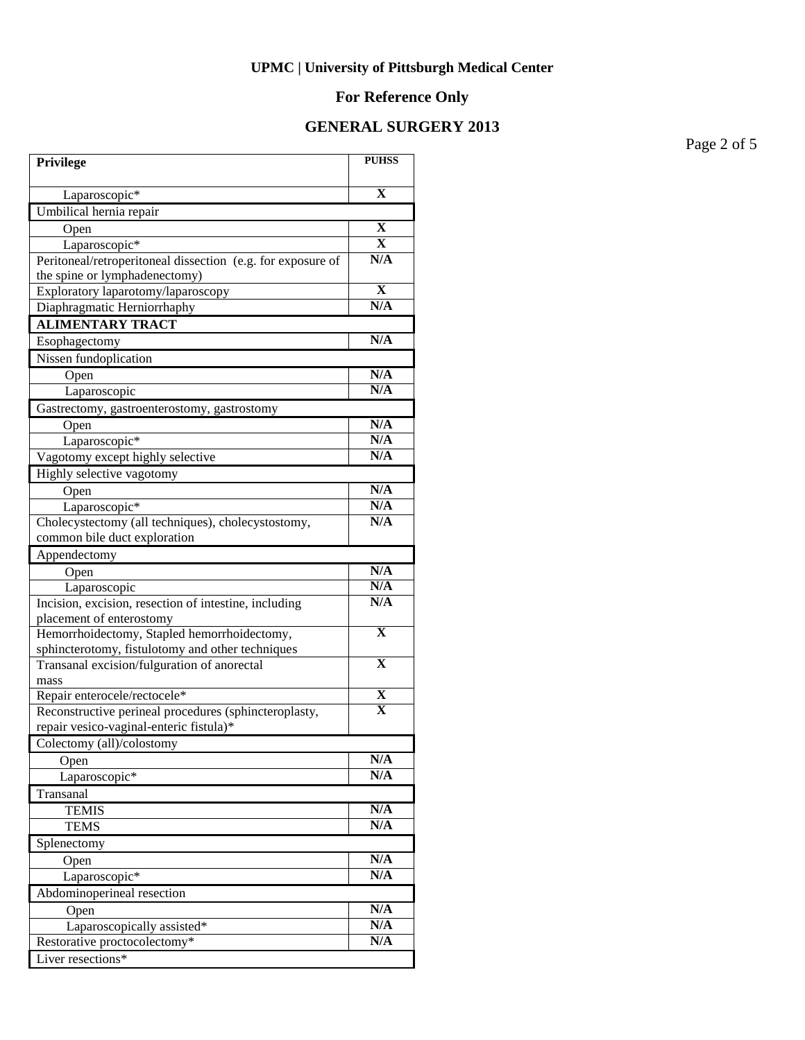# **For Reference Only**

## **GENERAL SURGERY 2013**

Page 2 of 5

| Privilege                                                   | <b>PUHSS</b>            |
|-------------------------------------------------------------|-------------------------|
| Laparoscopic*                                               | $\overline{\mathbf{X}}$ |
| Umbilical hernia repair                                     |                         |
| Open                                                        | $\mathbf X$             |
| Laparoscopic*                                               | X                       |
| Peritoneal/retroperitoneal dissection (e.g. for exposure of | N/A                     |
| the spine or lymphadenectomy)                               |                         |
| Exploratory laparotomy/laparoscopy                          | $\mathbf X$             |
| Diaphragmatic Herniorrhaphy                                 | N/A                     |
| <b>ALIMENTARY TRACT</b>                                     |                         |
| Esophagectomy                                               | N/A                     |
| Nissen fundoplication                                       |                         |
| Open                                                        | N/A                     |
| Laparoscopic                                                | N/A                     |
| Gastrectomy, gastroenterostomy, gastrostomy                 |                         |
| Open                                                        | N/A                     |
| Laparoscopic*                                               | N/A                     |
| Vagotomy except highly selective                            | N/A                     |
| Highly selective vagotomy                                   |                         |
| Open                                                        | N/A                     |
| Laparoscopic*                                               | N/A                     |
| Cholecystectomy (all techniques), cholecystostomy,          | N/A                     |
| common bile duct exploration                                |                         |
| Appendectomy                                                |                         |
| Open                                                        | N/A                     |
| Laparoscopic                                                | N/A                     |
| Incision, excision, resection of intestine, including       | N/A                     |
| placement of enterostomy                                    |                         |
| Hemorrhoidectomy, Stapled hemorrhoidectomy,                 | $\overline{\mathbf{X}}$ |
| sphincterotomy, fistulotomy and other techniques            | $\overline{\textbf{X}}$ |
| Transanal excision/fulguration of anorectal                 |                         |
| mass<br>Repair enterocele/rectocele*                        | X                       |
| Reconstructive perineal procedures (sphincteroplasty,       | X                       |
| repair vesico-vaginal-enteric fistula)*                     |                         |
| Colectomy (all)/colostomy                                   |                         |
| Open                                                        | N/A                     |
| Laparoscopic*                                               | N/A                     |
| Transanal                                                   |                         |
| <b>TEMIS</b>                                                | N/A                     |
| <b>TEMS</b>                                                 | N/A                     |
| Splenectomy                                                 |                         |
| Open                                                        | N/A                     |
| Laparoscopic*                                               | N/A                     |
| Abdominoperineal resection                                  |                         |
| Open                                                        | N/A                     |
| Laparoscopically assisted*                                  | N/A                     |
| Restorative proctocolectomy*                                | N/A                     |
| Liver resections*                                           |                         |
|                                                             |                         |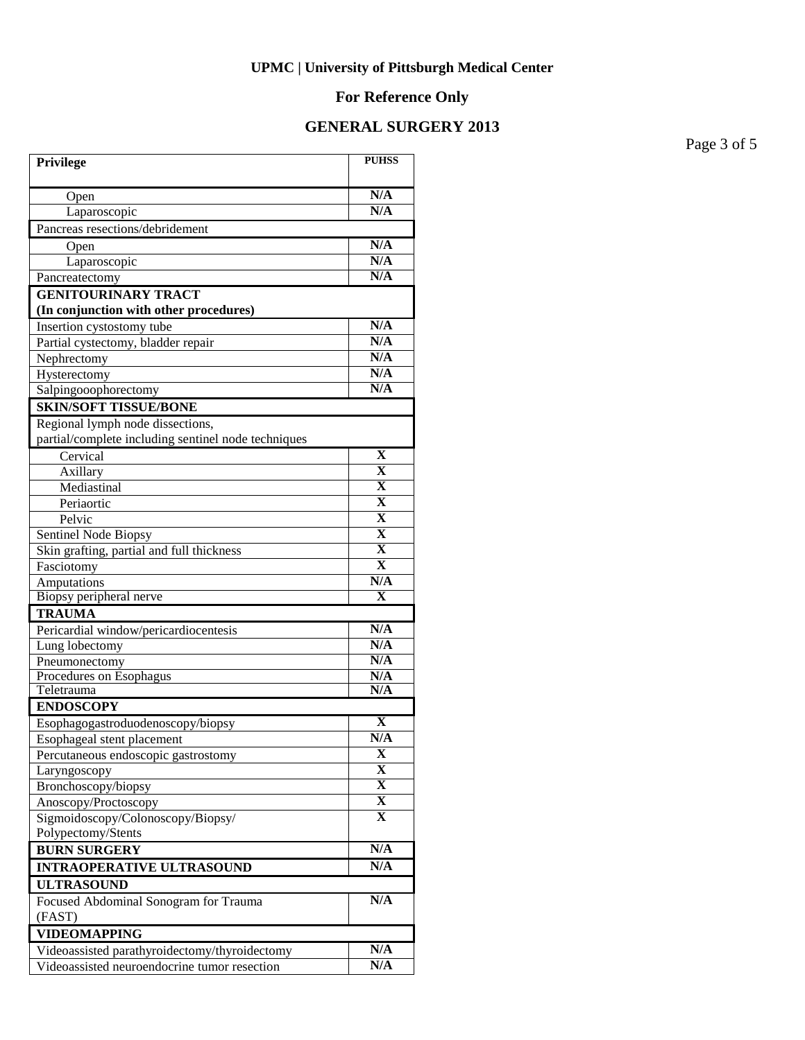# **For Reference Only**

## **GENERAL SURGERY 2013**

Page 3 of 5

| N/A<br>Open<br>N/A<br>Laparoscopic<br>Pancreas resections/debridement<br>N/A<br>Open<br>N/A<br>Laparoscopic<br>N/A<br>Pancreatectomy<br><b>GENITOURINARY TRACT</b><br>(In conjunction with other procedures)<br>N/A<br>Insertion cystostomy tube<br>N/A<br>Partial cystectomy, bladder repair<br>N/A<br>Nephrectomy<br>N/A<br>Hysterectomy<br>N/A<br>Salpingooophorectomy<br><b>SKIN/SOFT TISSUE/BONE</b><br>Regional lymph node dissections,<br>partial/complete including sentinel node techniques<br>X<br>Cervical<br>$\overline{\textbf{X}}$<br>Axillary<br>$\overline{\textbf{X}}$<br>Mediastinal<br>$\overline{\textbf{X}}$<br>Periaortic<br>$\overline{\textbf{X}}$<br>Pelvic<br>$\overline{\textbf{X}}$<br>Sentinel Node Biopsy<br>$\overline{\textbf{X}}$<br>Skin grafting, partial and full thickness<br>$\overline{\textbf{X}}$<br>Fasciotomy |  |
|----------------------------------------------------------------------------------------------------------------------------------------------------------------------------------------------------------------------------------------------------------------------------------------------------------------------------------------------------------------------------------------------------------------------------------------------------------------------------------------------------------------------------------------------------------------------------------------------------------------------------------------------------------------------------------------------------------------------------------------------------------------------------------------------------------------------------------------------------------|--|
|                                                                                                                                                                                                                                                                                                                                                                                                                                                                                                                                                                                                                                                                                                                                                                                                                                                          |  |
|                                                                                                                                                                                                                                                                                                                                                                                                                                                                                                                                                                                                                                                                                                                                                                                                                                                          |  |
|                                                                                                                                                                                                                                                                                                                                                                                                                                                                                                                                                                                                                                                                                                                                                                                                                                                          |  |
|                                                                                                                                                                                                                                                                                                                                                                                                                                                                                                                                                                                                                                                                                                                                                                                                                                                          |  |
|                                                                                                                                                                                                                                                                                                                                                                                                                                                                                                                                                                                                                                                                                                                                                                                                                                                          |  |
|                                                                                                                                                                                                                                                                                                                                                                                                                                                                                                                                                                                                                                                                                                                                                                                                                                                          |  |
|                                                                                                                                                                                                                                                                                                                                                                                                                                                                                                                                                                                                                                                                                                                                                                                                                                                          |  |
|                                                                                                                                                                                                                                                                                                                                                                                                                                                                                                                                                                                                                                                                                                                                                                                                                                                          |  |
|                                                                                                                                                                                                                                                                                                                                                                                                                                                                                                                                                                                                                                                                                                                                                                                                                                                          |  |
|                                                                                                                                                                                                                                                                                                                                                                                                                                                                                                                                                                                                                                                                                                                                                                                                                                                          |  |
|                                                                                                                                                                                                                                                                                                                                                                                                                                                                                                                                                                                                                                                                                                                                                                                                                                                          |  |
|                                                                                                                                                                                                                                                                                                                                                                                                                                                                                                                                                                                                                                                                                                                                                                                                                                                          |  |
|                                                                                                                                                                                                                                                                                                                                                                                                                                                                                                                                                                                                                                                                                                                                                                                                                                                          |  |
|                                                                                                                                                                                                                                                                                                                                                                                                                                                                                                                                                                                                                                                                                                                                                                                                                                                          |  |
|                                                                                                                                                                                                                                                                                                                                                                                                                                                                                                                                                                                                                                                                                                                                                                                                                                                          |  |
|                                                                                                                                                                                                                                                                                                                                                                                                                                                                                                                                                                                                                                                                                                                                                                                                                                                          |  |
|                                                                                                                                                                                                                                                                                                                                                                                                                                                                                                                                                                                                                                                                                                                                                                                                                                                          |  |
|                                                                                                                                                                                                                                                                                                                                                                                                                                                                                                                                                                                                                                                                                                                                                                                                                                                          |  |
|                                                                                                                                                                                                                                                                                                                                                                                                                                                                                                                                                                                                                                                                                                                                                                                                                                                          |  |
|                                                                                                                                                                                                                                                                                                                                                                                                                                                                                                                                                                                                                                                                                                                                                                                                                                                          |  |
|                                                                                                                                                                                                                                                                                                                                                                                                                                                                                                                                                                                                                                                                                                                                                                                                                                                          |  |
|                                                                                                                                                                                                                                                                                                                                                                                                                                                                                                                                                                                                                                                                                                                                                                                                                                                          |  |
|                                                                                                                                                                                                                                                                                                                                                                                                                                                                                                                                                                                                                                                                                                                                                                                                                                                          |  |
|                                                                                                                                                                                                                                                                                                                                                                                                                                                                                                                                                                                                                                                                                                                                                                                                                                                          |  |
| N/A<br>Amputations                                                                                                                                                                                                                                                                                                                                                                                                                                                                                                                                                                                                                                                                                                                                                                                                                                       |  |
| Biopsy peripheral nerve<br>x                                                                                                                                                                                                                                                                                                                                                                                                                                                                                                                                                                                                                                                                                                                                                                                                                             |  |
| <b>TRAUMA</b>                                                                                                                                                                                                                                                                                                                                                                                                                                                                                                                                                                                                                                                                                                                                                                                                                                            |  |
| N/A<br>Pericardial window/pericardiocentesis                                                                                                                                                                                                                                                                                                                                                                                                                                                                                                                                                                                                                                                                                                                                                                                                             |  |
| N/A<br>Lung lobectomy<br>N/A                                                                                                                                                                                                                                                                                                                                                                                                                                                                                                                                                                                                                                                                                                                                                                                                                             |  |
| Pneumonectomy<br>N/A                                                                                                                                                                                                                                                                                                                                                                                                                                                                                                                                                                                                                                                                                                                                                                                                                                     |  |
| Procedures on Esophagus<br>N/A<br>Teletrauma                                                                                                                                                                                                                                                                                                                                                                                                                                                                                                                                                                                                                                                                                                                                                                                                             |  |
| <b>ENDOSCOPY</b>                                                                                                                                                                                                                                                                                                                                                                                                                                                                                                                                                                                                                                                                                                                                                                                                                                         |  |
| X<br>Esophagogastroduodenoscopy/biopsy                                                                                                                                                                                                                                                                                                                                                                                                                                                                                                                                                                                                                                                                                                                                                                                                                   |  |
| N/A<br>Esophageal stent placement                                                                                                                                                                                                                                                                                                                                                                                                                                                                                                                                                                                                                                                                                                                                                                                                                        |  |
| X<br>Percutaneous endoscopic gastrostomy                                                                                                                                                                                                                                                                                                                                                                                                                                                                                                                                                                                                                                                                                                                                                                                                                 |  |
| X<br>Laryngoscopy                                                                                                                                                                                                                                                                                                                                                                                                                                                                                                                                                                                                                                                                                                                                                                                                                                        |  |
| X<br>Bronchoscopy/biopsy                                                                                                                                                                                                                                                                                                                                                                                                                                                                                                                                                                                                                                                                                                                                                                                                                                 |  |
| $\overline{\mathbf{X}}$<br>Anoscopy/Proctoscopy                                                                                                                                                                                                                                                                                                                                                                                                                                                                                                                                                                                                                                                                                                                                                                                                          |  |
| X<br>Sigmoidoscopy/Colonoscopy/Biopsy/                                                                                                                                                                                                                                                                                                                                                                                                                                                                                                                                                                                                                                                                                                                                                                                                                   |  |
| Polypectomy/Stents                                                                                                                                                                                                                                                                                                                                                                                                                                                                                                                                                                                                                                                                                                                                                                                                                                       |  |
| N/A<br><b>BURN SURGERY</b>                                                                                                                                                                                                                                                                                                                                                                                                                                                                                                                                                                                                                                                                                                                                                                                                                               |  |
| N/A<br><b>INTRAOPERATIVE ULTRASOUND</b>                                                                                                                                                                                                                                                                                                                                                                                                                                                                                                                                                                                                                                                                                                                                                                                                                  |  |
| <b>ULTRASOUND</b>                                                                                                                                                                                                                                                                                                                                                                                                                                                                                                                                                                                                                                                                                                                                                                                                                                        |  |
| N/A<br>Focused Abdominal Sonogram for Trauma                                                                                                                                                                                                                                                                                                                                                                                                                                                                                                                                                                                                                                                                                                                                                                                                             |  |
| (FAST)                                                                                                                                                                                                                                                                                                                                                                                                                                                                                                                                                                                                                                                                                                                                                                                                                                                   |  |
| <b>VIDEOMAPPING</b>                                                                                                                                                                                                                                                                                                                                                                                                                                                                                                                                                                                                                                                                                                                                                                                                                                      |  |
| N/A<br>Videoassisted parathyroidectomy/thyroidectomy                                                                                                                                                                                                                                                                                                                                                                                                                                                                                                                                                                                                                                                                                                                                                                                                     |  |
| N/A<br>Videoassisted neuroendocrine tumor resection                                                                                                                                                                                                                                                                                                                                                                                                                                                                                                                                                                                                                                                                                                                                                                                                      |  |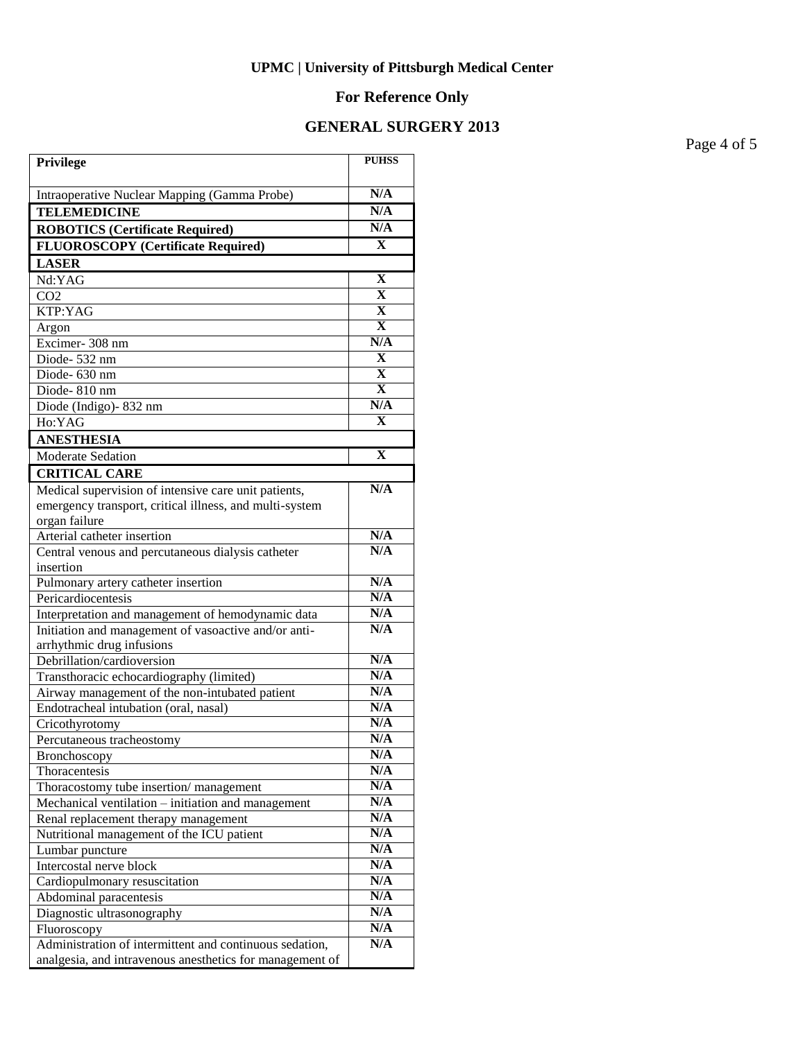# **For Reference Only**

## **GENERAL SURGERY 2013**

Page 4 of 5

| Privilege                                                | <b>PUHSS</b>            |
|----------------------------------------------------------|-------------------------|
| Intraoperative Nuclear Mapping (Gamma Probe)             | N/A                     |
| <b>TELEMEDICINE</b>                                      | N/A                     |
|                                                          | N/A                     |
| <b>ROBOTICS (Certificate Required)</b>                   | $\mathbf X$             |
| FLUOROSCOPY (Certificate Required)                       |                         |
| <b>LASER</b>                                             | $\mathbf X$             |
| Nd:YAG<br>CO <sub>2</sub>                                | $\overline{\textbf{X}}$ |
| KTP:YAG                                                  | $\overline{\textbf{X}}$ |
|                                                          | $\overline{\mathbf{X}}$ |
| Argon<br>Excimer-308 nm                                  | N/A                     |
| Diode-532 nm                                             | X                       |
| Diode-630 nm                                             | $\overline{\textbf{X}}$ |
| Diode-810 nm                                             | $\overline{\mathbf{X}}$ |
| Diode (Indigo) - 832 nm                                  | N/A                     |
| Ho:YAG                                                   | $\mathbf X$             |
| <b>ANESTHESIA</b>                                        |                         |
| <b>Moderate Sedation</b>                                 | $\mathbf X$             |
| <b>CRITICAL CARE</b>                                     |                         |
| Medical supervision of intensive care unit patients,     | N/A                     |
| emergency transport, critical illness, and multi-system  |                         |
| organ failure                                            |                         |
| Arterial catheter insertion                              | N/A                     |
| Central venous and percutaneous dialysis catheter        | N/A                     |
| insertion                                                |                         |
| Pulmonary artery catheter insertion                      | N/A                     |
| Pericardiocentesis                                       | N/A                     |
| Interpretation and management of hemodynamic data        | N/A                     |
| Initiation and management of vasoactive and/or anti-     | N/A                     |
| arrhythmic drug infusions                                |                         |
| Debrillation/cardioversion                               | N/A                     |
| Transthoracic echocardiography (limited)                 | N/A                     |
| Airway management of the non-intubated patient           | N/A                     |
| Endotracheal intubation (oral, nasal)                    | N/A                     |
| Cricothyrotomy                                           | N/A<br>N/A              |
| Percutaneous tracheostomy                                | N/A                     |
| Bronchoscopy<br>Thoracentesis                            | N/A                     |
| Thoracostomy tube insertion/management                   | N/A                     |
| Mechanical ventilation – initiation and management       | N/A                     |
| Renal replacement therapy management                     | N/A                     |
| Nutritional management of the ICU patient                | N/A                     |
| Lumbar puncture                                          | N/A                     |
| Intercostal nerve block                                  | N/A                     |
| Cardiopulmonary resuscitation                            | N/A                     |
| Abdominal paracentesis                                   | N/A                     |
| Diagnostic ultrasonography                               | N/A                     |
| Fluoroscopy                                              | N/A                     |
| Administration of intermittent and continuous sedation,  | N/A                     |
| analgesia, and intravenous anesthetics for management of |                         |